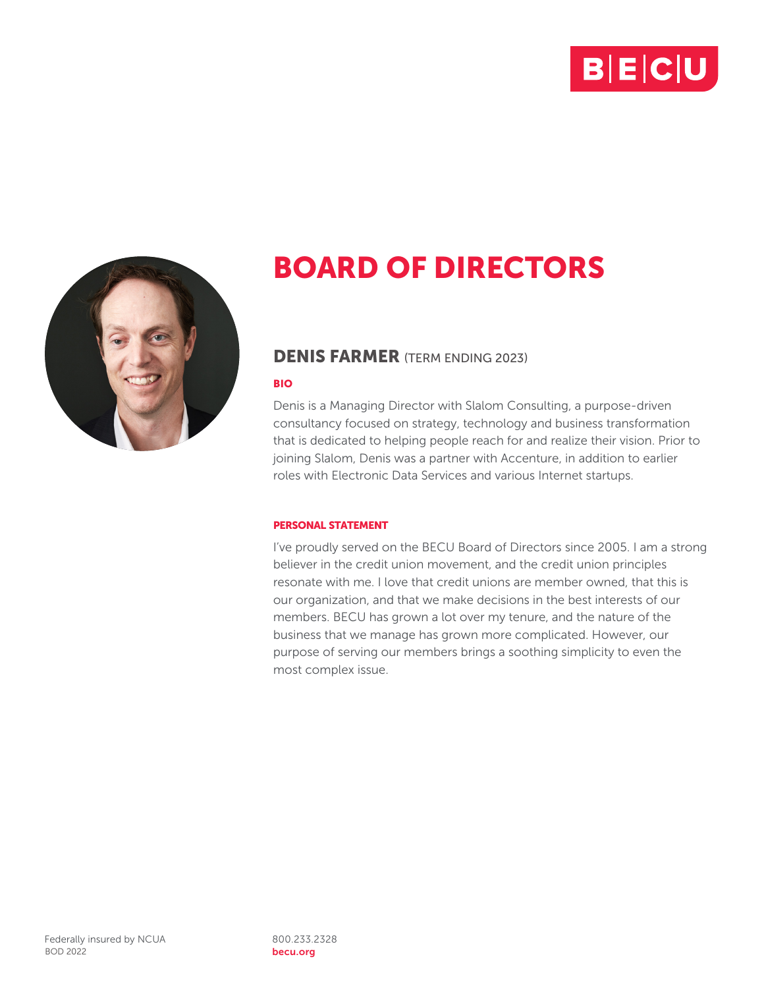



## DENIS FARMER (TERM ENDING 2023)

#### BIO

Denis is a Managing Director with Slalom Consulting, a purpose-driven consultancy focused on strategy, technology and business transformation that is dedicated to helping people reach for and realize their vision. Prior to joining Slalom, Denis was a partner with Accenture, in addition to earlier roles with Electronic Data Services and various Internet startups.

## PERSONAL STATEMENT

I've proudly served on the BECU Board of Directors since 2005. I am a strong believer in the credit union movement, and the credit union principles resonate with me. I love that credit unions are member owned, that this is our organization, and that we make decisions in the best interests of our members. BECU has grown a lot over my tenure, and the nature of the business that we manage has grown more complicated. However, our purpose of serving our members brings a soothing simplicity to even the most complex issue.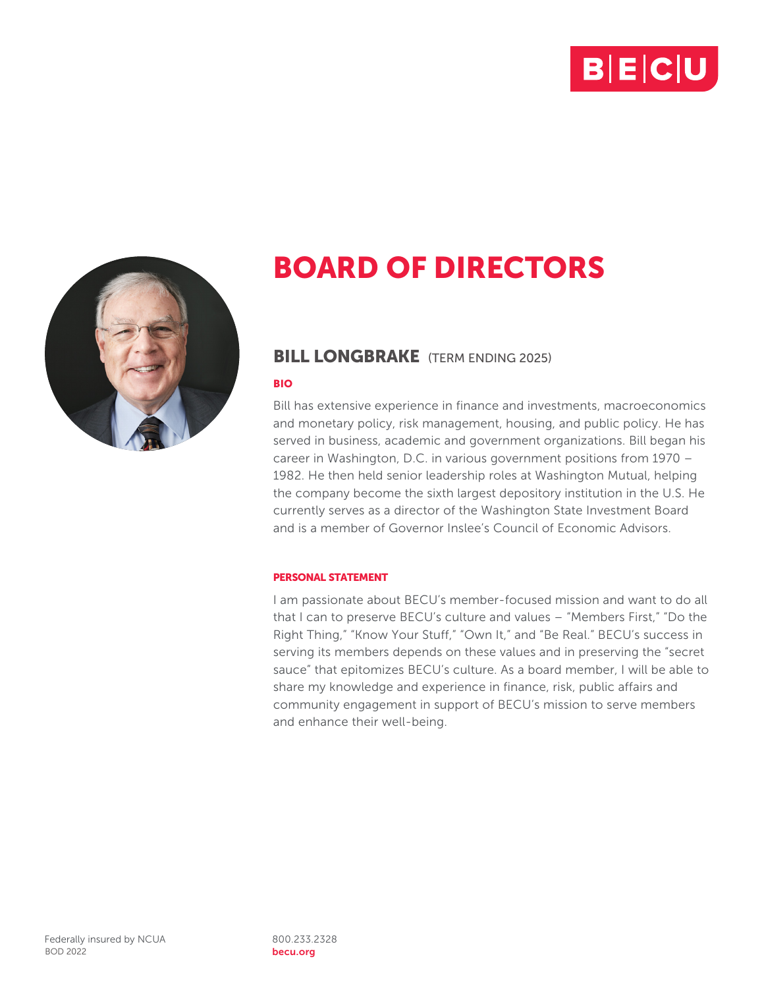



## BILL LONGBRAKE (TERM ENDING 2025)

## BIO

Bill has extensive experience in finance and investments, macroeconomics and monetary policy, risk management, housing, and public policy. He has served in business, academic and government organizations. Bill began his career in Washington, D.C. in various government positions from 1970 – 1982. He then held senior leadership roles at Washington Mutual, helping the company become the sixth largest depository institution in the U.S. He currently serves as a director of the Washington State Investment Board and is a member of Governor Inslee's Council of Economic Advisors.

## PERSONAL STATEMENT

I am passionate about BECU's member-focused mission and want to do all that I can to preserve BECU's culture and values – "Members First," "Do the Right Thing," "Know Your Stuff," "Own It," and "Be Real." BECU's success in serving its members depends on these values and in preserving the "secret sauce" that epitomizes BECU's culture. As a board member, I will be able to share my knowledge and experience in finance, risk, public affairs and community engagement in support of BECU's mission to serve members and enhance their well-being.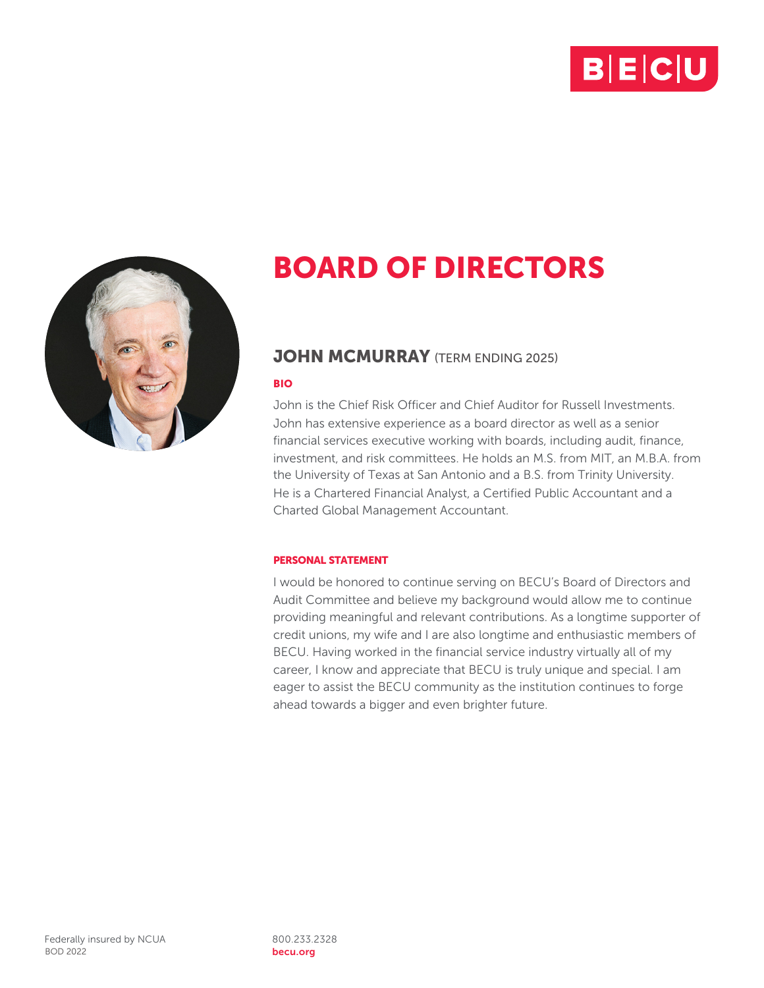



## **JOHN MCMURRAY** (TERM ENDING 2025)

#### BIO

John is the Chief Risk Officer and Chief Auditor for Russell Investments. John has extensive experience as a board director as well as a senior financial services executive working with boards, including audit, finance, investment, and risk committees. He holds an M.S. from MIT, an M.B.A. from the University of Texas at San Antonio and a B.S. from Trinity University. He is a Chartered Financial Analyst, a Certified Public Accountant and a Charted Global Management Accountant.

## PERSONAL STATEMENT

I would be honored to continue serving on BECU's Board of Directors and Audit Committee and believe my background would allow me to continue providing meaningful and relevant contributions. As a longtime supporter of credit unions, my wife and I are also longtime and enthusiastic members of BECU. Having worked in the financial service industry virtually all of my career, I know and appreciate that BECU is truly unique and special. I am eager to assist the BECU community as the institution continues to forge ahead towards a bigger and even brighter future.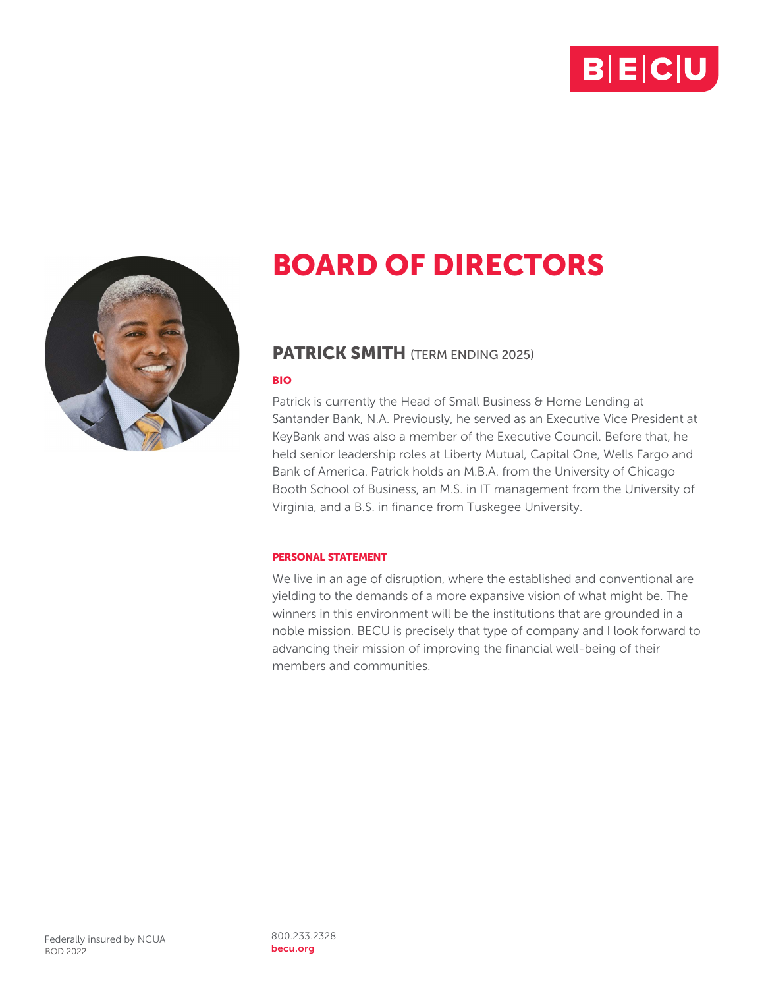



## PATRICK SMITH (TERM ENDING 2025)

## BIO

Patrick is currently the Head of Small Business & Home Lending at Santander Bank, N.A. Previously, he served as an Executive Vice President at KeyBank and was also a member of the Executive Council. Before that, he held senior leadership roles at Liberty Mutual, Capital One, Wells Fargo and Bank of America. Patrick holds an M.B.A. from the University of Chicago Booth School of Business, an M.S. in IT management from the University of Virginia, and a B.S. in finance from Tuskegee University.

## PERSONAL STATEMENT

We live in an age of disruption, where the established and conventional are yielding to the demands of a more expansive vision of what might be. The winners in this environment will be the institutions that are grounded in a noble mission. BECU is precisely that type of company and I look forward to advancing their mission of improving the financial well-being of their members and communities.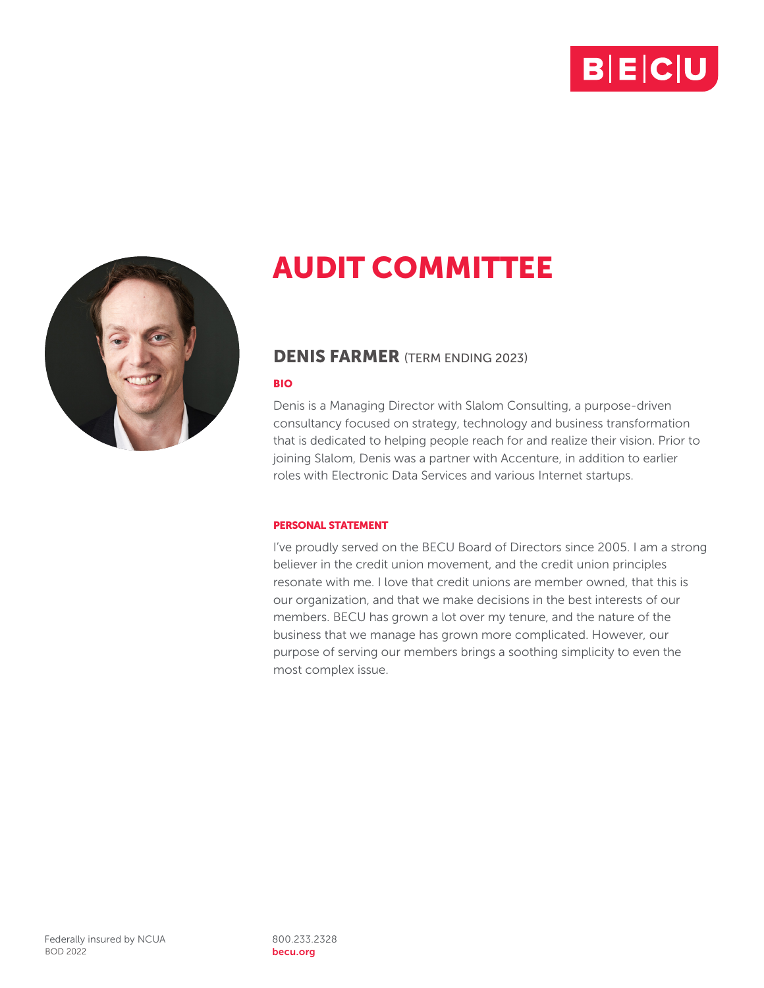



## DENIS FARMER (TERM ENDING 2023)

#### BIO

Denis is a Managing Director with Slalom Consulting, a purpose-driven consultancy focused on strategy, technology and business transformation that is dedicated to helping people reach for and realize their vision. Prior to joining Slalom, Denis was a partner with Accenture, in addition to earlier roles with Electronic Data Services and various Internet startups.

## PERSONAL STATEMENT

I've proudly served on the BECU Board of Directors since 2005. I am a strong believer in the credit union movement, and the credit union principles resonate with me. I love that credit unions are member owned, that this is our organization, and that we make decisions in the best interests of our members. BECU has grown a lot over my tenure, and the nature of the business that we manage has grown more complicated. However, our purpose of serving our members brings a soothing simplicity to even the most complex issue.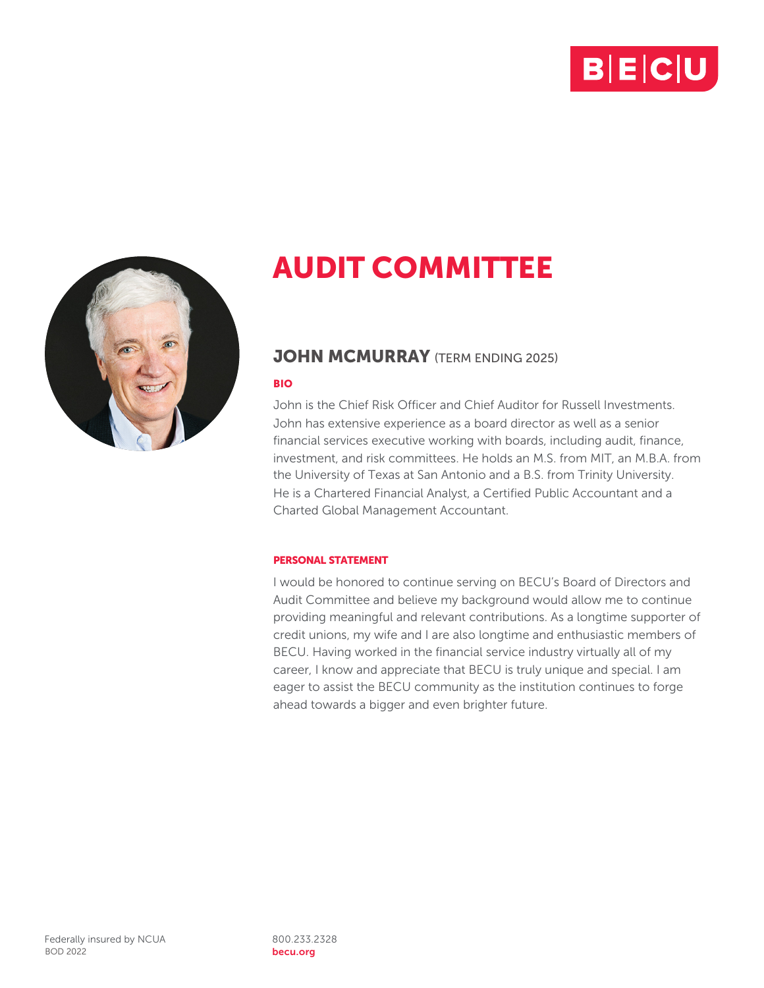



## **JOHN MCMURRAY** (TERM ENDING 2025)

#### BIO

John is the Chief Risk Officer and Chief Auditor for Russell Investments. John has extensive experience as a board director as well as a senior financial services executive working with boards, including audit, finance, investment, and risk committees. He holds an M.S. from MIT, an M.B.A. from the University of Texas at San Antonio and a B.S. from Trinity University. He is a Chartered Financial Analyst, a Certified Public Accountant and a Charted Global Management Accountant.

#### PERSONAL STATEMENT

I would be honored to continue serving on BECU's Board of Directors and Audit Committee and believe my background would allow me to continue providing meaningful and relevant contributions. As a longtime supporter of credit unions, my wife and I are also longtime and enthusiastic members of BECU. Having worked in the financial service industry virtually all of my career, I know and appreciate that BECU is truly unique and special. I am eager to assist the BECU community as the institution continues to forge ahead towards a bigger and even brighter future.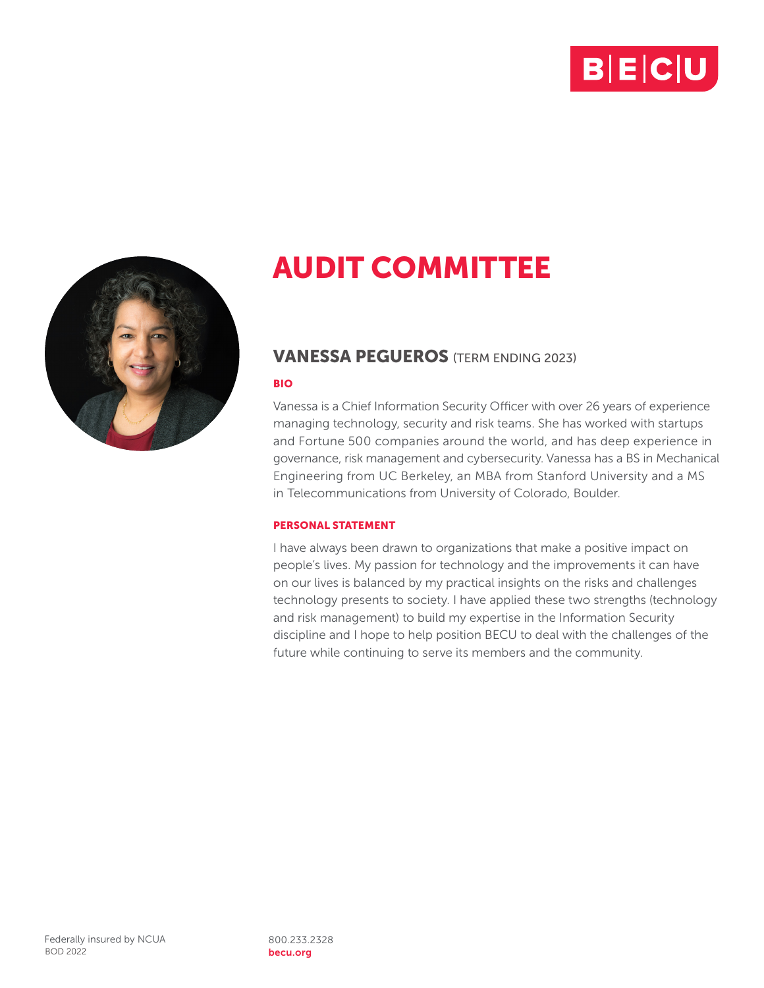



## VANESSA PEGUEROS (TERM ENDING 2023)

#### BIO

Vanessa is a Chief Information Security Officer with over 26 years of experience managing technology, security and risk teams. She has worked with startups and Fortune 500 companies around the world, and has deep experience in governance, risk management and cybersecurity. Vanessa has a BS in Mechanical Engineering from UC Berkeley, an MBA from Stanford University and a MS in Telecommunications from University of Colorado, Boulder.

## PERSONAL STATEMENT

I have always been drawn to organizations that make a positive impact on people's lives. My passion for technology and the improvements it can have on our lives is balanced by my practical insights on the risks and challenges technology presents to society. I have applied these two strengths (technology and risk management) to build my expertise in the Information Security discipline and I hope to help position BECU to deal with the challenges of the future while continuing to serve its members and the community.